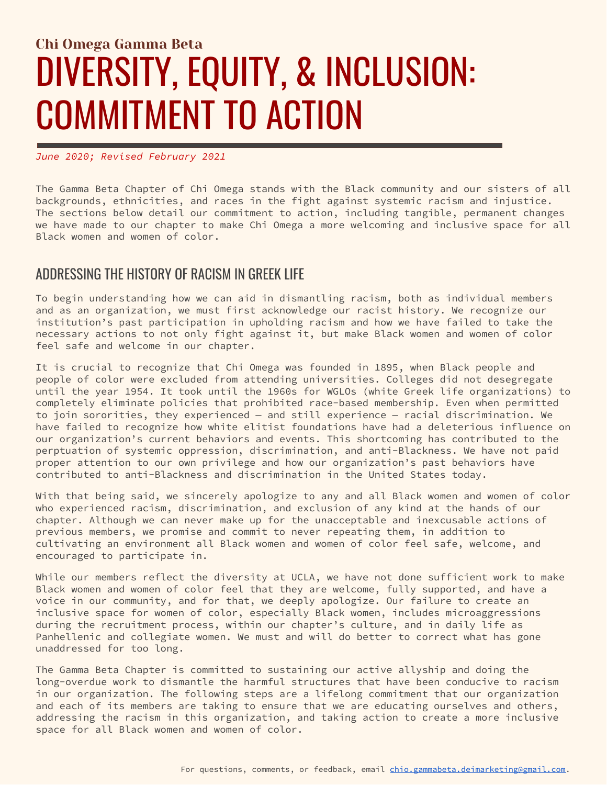# Chi Omega Gamma Beta DIVERSITY, EQUITY, & INCLUSION: COMMITMENT TO ACTION

#### *June 2020; Revised February 2021*

The Gamma Beta Chapter of Chi Omega stands with the Black community and our sisters of all backgrounds, ethnicities, and races in the fight against systemic racism and injustice. The sections below detail our commitment to action, including tangible, permanent changes we have made to our chapter to make Chi Omega a more welcoming and inclusive space for all Black women and women of color.

#### ADDRESSING THE HISTORY OF RACISM IN GREEK LIFE

To begin understanding how we can aid in dismantling racism, both as individual members and as an organization, we must first acknowledge our racist history. We recognize our institution's past participation in upholding racism and how we have failed to take the necessary actions to not only fight against it, but make Black women and women of color feel safe and welcome in our chapter.

It is crucial to recognize that Chi Omega was founded in 1895, when Black people and people of color were excluded from attending universities. Colleges did not desegregate until the year 1954. It took until the 1960s for WGLOs (white Greek life organizations) to completely eliminate policies that prohibited race-based membership. Even when permitted to join sororities, they experienced — and still experience — racial discrimination. We have failed to recognize how white elitist foundations have had a deleterious influence on our organization's current behaviors and events. This shortcoming has contributed to the perptuation of systemic oppression, discrimination, and anti-Blackness. We have not paid proper attention to our own privilege and how our organization's past behaviors have contributed to anti-Blackness and discrimination in the United States today.

With that being said, we sincerely apologize to any and all Black women and women of color who experienced racism, discrimination, and exclusion of any kind at the hands of our chapter. Although we can never make up for the unacceptable and inexcusable actions of previous members, we promise and commit to never repeating them, in addition to cultivating an environment all Black women and women of color feel safe, welcome, and encouraged to participate in.

While our members reflect the diversity at UCLA, we have not done sufficient work to make Black women and women of color feel that they are welcome, fully supported, and have a voice in our community, and for that, we deeply apologize. Our failure to create an inclusive space for women of color, especially Black women, includes microaggressions during the recruitment process, within our chapter's culture, and in daily life as Panhellenic and collegiate women. We must and will do better to correct what has gone unaddressed for too long.

The Gamma Beta Chapter is committed to sustaining our active allyship and doing the long-overdue work to dismantle the harmful structures that have been conducive to racism in our organization. The following steps are a lifelong commitment that our organization and each of its members are taking to ensure that we are educating ourselves and others, addressing the racism in this organization, and taking action to create a more inclusive space for all Black women and women of color.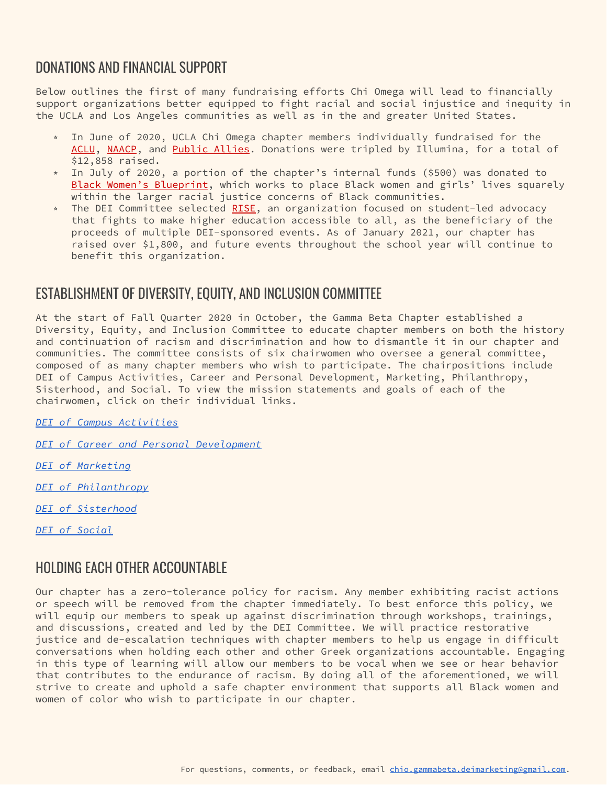## DONATIONS AND FINANCIAL SUPPORT

Below outlines the first of many fundraising efforts Chi Omega will lead to financially support organizations better equipped to fight racial and social injustice and inequity in the UCLA and Los Angeles communities as well as in the and greater United States.

- ⭒ In June of 2020, UCLA Chi Omega chapter members individually fundraised for the [ACLU,](https://www.aclu.org/) [NAACP,](https://naacp.org/) and Public [Allies.](https://publicallies.org/) Donations were tripled by Illumina, for a total of \$12,858 raised.
- ⭒ In July of 2020, a portion of the chapter's internal funds (\$500) was donated to Black Women's [Blueprint,](https://www.blackwomensblueprint.org/) which works to place Black women and girls' lives squarely within the larger racial justice concerns of Black communities.
- The DEI Committee selected [RISE,](https://risefree.org/) an organization focused on student-led advocacy that fights to make higher education accessible to all, as the beneficiary of the proceeds of multiple DEI-sponsored events. As of January 2021, our chapter has raised over \$1,800, and future events throughout the school year will continue to benefit this organization.

## ESTABLISHMENT OF DIVERSITY, EQUITY, AND INCLUSION COMMITTEE

At the start of Fall Quarter 2020 in October, the Gamma Beta Chapter established a Diversity, Equity, and Inclusion Committee to educate chapter members on both the history and continuation of racism and discrimination and how to dismantle it in our chapter and communities. The committee consists of six chairwomen who oversee a general committee, composed of as many chapter members who wish to participate. The chairpositions include DEI of Campus Activities, Career and Personal Development, Marketing, Philanthropy, Sisterhood, and Social. To view the mission statements and goals of each of the chairwomen, click on their individual links.

*DEI of Campus [Activities](https://docs.google.com/document/d/1F4dhijIVtTGdk8E446LN8zaZCYCU_q1pApCm9Nbs33U/edit?usp=sharing)*

*DEI of Career and Personal [Development](https://docs.google.com/document/d/1jFL1pUs6ndhRlvrfpxB1SQJq-QoHqvGW0G2qXVjzhMo/edit?usp=sharing)*

*DEI of [Marketing](https://docs.google.com/document/d/1cN9uaUrMMl2e9K6WhLDWhSTjCfvKH7XOcyXN02_XXF8/edit?usp=sharing)*

*DEI of [Philanthropy](https://docs.google.com/document/d/17Xi01ecLDt8nwbvnOHN5TnuIMbj5VtV13tpn1dw-6qM/edit?usp=sharing)*

*DEI of [Sisterhood](https://docs.google.com/document/d/1y-FGZ6o715-GW7M2NoxqCakdeAfm_POtXJP3rjYeKvI/edit?usp=sharing)*

*DEI of [Social](https://docs.google.com/document/d/12-XjR2F0iqDUfv3h3STg-eeQhkYxCsxe_wVyFT-VD2c/edit?usp=sharing)*

## HOLDING EACH OTHER ACCOUNTABLE

Our chapter has a zero-tolerance policy for racism. Any member exhibiting racist actions or speech will be removed from the chapter immediately. To best enforce this policy, we will equip our members to speak up against discrimination through workshops, trainings, and discussions, created and led by the DEI Committee. We will practice restorative justice and de-escalation techniques with chapter members to help us engage in difficult conversations when holding each other and other Greek organizations accountable. Engaging in this type of learning will allow our members to be vocal when we see or hear behavior that contributes to the endurance of racism. By doing all of the aforementioned, we will strive to create and uphold a safe chapter environment that supports all Black women and women of color who wish to participate in our chapter.